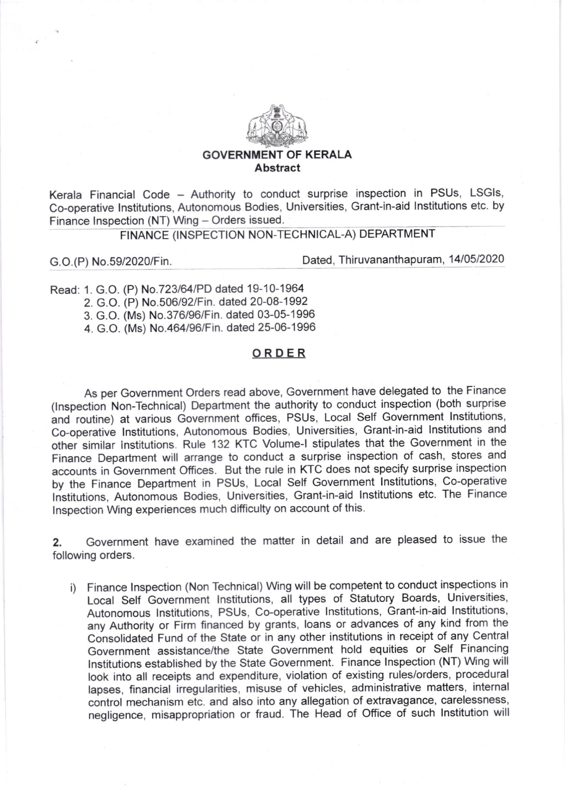

## GOVERNMENT OF KERALA Abstract

Kerala Financial Code - Authority to conduct surprise inspection in PSUs, LSGIs, Co-operative lnstitutions, Autonomous Bodies, Universities, Grant-in-aid lnstitutions etc. by Finance Inspection (NT) Wing - Orders issued.

## FINANCE (INSPECTION NON-TECHNICAL.A) DEPARTMENT

G.O.(P) No.59/2020/Fin. Dated, Thiruvananthapuram, 14/05/2020

d: 1. G.O Rea (P) No.723l64iPD dated'l 9-1 0-1 964

2. G.O (P) No.506/92/Fin. dated 20-08-1992

3. G.O (Ms) No.376/96/Fin. dated 03-05-1 996

4. G.O (Ms) No.464/96/Fin. dated 25-06-1996

## ORDER

As per Government Orders read above, Government have delegated to the Finance (lnspection Non-Technical) Department the authority to conduct inspection (both surprise and routine) at various Government offices, PSUs, Local Self Government lnstitutions, Co-operative lnstitutions, Autonomous Bodies, Universities, Grant-in-aid lnstitutions and other similar institutions. Rule 132 KTC Volume-I stipulates that the Government in the Finance Department will arrange to conduct a surprise inspection of cash, stores and accounts in Government Offices. But the rule in KTC does not specify surprise inspection by the Finance Department in PSUs, Local Self Government lnstitutions, Co-operative Institutions, Autonomous Bodies, Universities, Grant-in-aid Institutions etc. The Finance lnspection Wing experiences much difficulty on account of this.

2. Government have examined the matter in detail and are pleased to issue the following orders.

i) Finance lnspection (Non Technical) Wing will be competent to conduct inspections in Local Self Government Institutions, all types of Statutory Boards, Universities, Autonomous lnstitutions, PSUs, Co-operative lnstitutions, Grant-in-aid lnstitutions, any Authority or Firm financed by grants, loans or advances of any kind from the Consolidated Fund of the State or in any other institutions in receipt of any Central Government assistance/the state Government hold equities or self Financing lnstitutions established by the state Government. Finance Inspection (NT) Wing will look into all receipts and expenditure, violation of existing rules/orders, procedural lapses, financial irregularities, misuse of vehicles, administrative matters, internal control mechanism etc. and also into any allegation of extravagance, carelessness, negligence, misappropriation or fraud. The Head of office of such lnstitution will